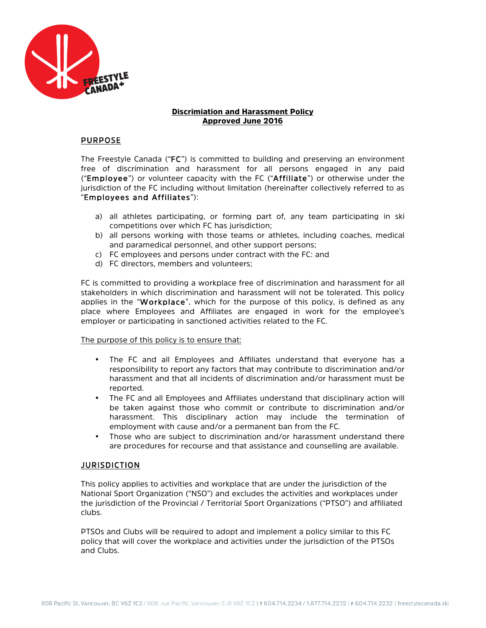

### Discrimiation and Harassment Policy Approved June 2016

### PURPOSE

The Freestyle Canada ("FC") is committed to building and preserving an environment free of discrimination and harassment for all persons engaged in any paid ("Employee") or volunteer capacity with the FC ("Affiliate") or otherwise under the jurisdiction of the FC including without limitation (hereinafter collectively referred to as "Employees and Affiliates"):

- a) all athletes participating, or forming part of, any team participating in ski competitions over which FC has jurisdiction;
- b) all persons working with those teams or athletes, including coaches, medical and paramedical personnel, and other support persons;
- c) FC employees and persons under contract with the FC: and
- d) FC directors, members and volunteers;

FC is committed to providing a workplace free of discrimination and harassment for all stakeholders in which discrimination and harassment will not be tolerated. This policy applies in the "Workplace", which for the purpose of this policy, is defined as any place where Employees and Affiliates are engaged in work for the employee's employer or participating in sanctioned activities related to the FC.

### The purpose of this policy is to ensure that:

- The FC and all Employees and Affiliates understand that everyone has a responsibility to report any factors that may contribute to discrimination and/or harassment and that all incidents of discrimination and/or harassment must be reported.
- The FC and all Employees and Affiliates understand that disciplinary action will be taken against those who commit or contribute to discrimination and/or harassment. This disciplinary action may include the termination of employment with cause and/or a permanent ban from the FC.
- Those who are subject to discrimination and/or harassment understand there are procedures for recourse and that assistance and counselling are available.

### JURISDICTION

This policy applies to activities and workplace that are under the jurisdiction of the National Sport Organization ("NSO") and excludes the activities and workplaces under the jurisdiction of the Provincial / Territorial Sport Organizations ("PTSO") and affiliated clubs.

PTSOs and Clubs will be required to adopt and implement a policy similar to this FC policy that will cover the workplace and activities under the jurisdiction of the PTSOs and Clubs.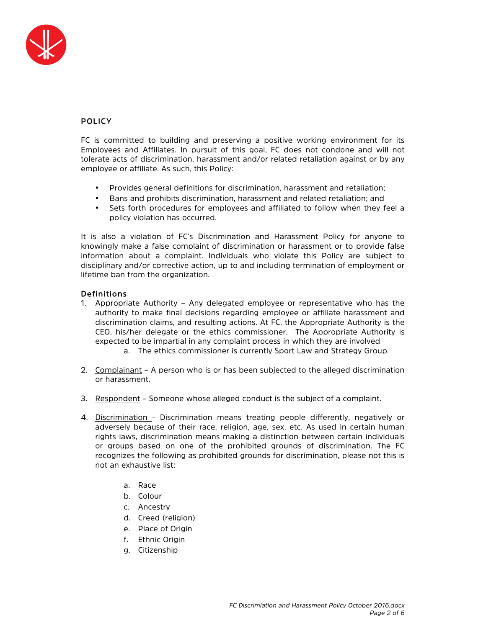

# POLICY

FC is committed to building and preserving a positive working environment for its Employees and Affiliates. In pursuit of this goal, FC does not condone and will not tolerate acts of discrimination, harassment and/or related retaliation against or by any employee or affiliate. As such, this Policy:

- Provides general definitions for discrimination, harassment and retaliation;
- Bans and prohibits discrimination, harassment and related retaliation; and
- Sets forth procedures for employees and affiliated to follow when they feel a policy violation has occurred.

It is also a violation of FC's Discrimination and Harassment Policy for anyone to knowingly make a false complaint of discrimination or harassment or to provide false information about a complaint. Individuals who violate this Policy are subject to disciplinary and/or corrective action, up to and including termination of employment or lifetime ban from the organization.

# Definitions

- 1. Appropriate Authority Any delegated employee or representative who has the authority to make final decisions regarding employee or affiliate harassment and discrimination claims, and resulting actions. At FC, the Appropriate Authority is the CEO, his/her delegate or the ethics commissioner. The Appropriate Authority is expected to be impartial in any complaint process in which they are involved
	- a. The ethics commissioner is currently Sport Law and Strategy Group.
- 2. Complainant A person who is or has been subjected to the alleged discrimination or harassment.
- 3. Respondent Someone whose alleged conduct is the subject of a complaint.
- 4. Discrimination Discrimination means treating people differently, negatively or adversely because of their race, religion, age, sex, etc. As used in certain human rights laws, discrimination means making a distinction between certain individuals or groups based on one of the prohibited grounds of discrimination. The FC recognizes the following as prohibited grounds for discrimination, please not this is not an exhaustive list:
	- a. Race
	- b. Colour
	- c. Ancestry
	- d. Creed (religion)
	- e. Place of Origin
	- f. Ethnic Origin
	- g. Citizenship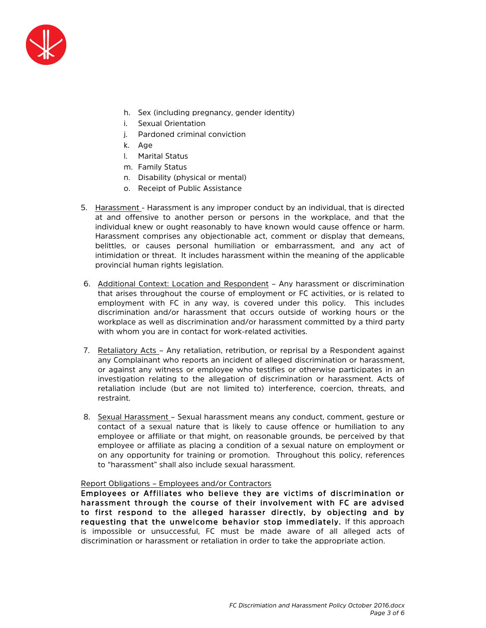

- h. Sex (including pregnancy, gender identity)
- i. Sexual Orientation
- j. Pardoned criminal conviction
- k. Age
- l. Marital Status
- m. Family Status
- n. Disability (physical or mental)
- o. Receipt of Public Assistance
- 5. Harassment Harassment is any improper conduct by an individual, that is directed at and offensive to another person or persons in the workplace, and that the individual knew or ought reasonably to have known would cause offence or harm. Harassment comprises any objectionable act, comment or display that demeans, belittles, or causes personal humiliation or embarrassment, and any act of intimidation or threat. It includes harassment within the meaning of the applicable provincial human rights legislation.
- 6. Additional Context: Location and Respondent Any harassment or discrimination that arises throughout the course of employment or FC activities, or is related to employment with FC in any way, is covered under this policy. This includes discrimination and/or harassment that occurs outside of working hours or the workplace as well as discrimination and/or harassment committed by a third party with whom you are in contact for work-related activities.
- 7. Retaliatory Acts Any retaliation, retribution, or reprisal by a Respondent against any Complainant who reports an incident of alleged discrimination or harassment, or against any witness or employee who testifies or otherwise participates in an investigation relating to the allegation of discrimination or harassment. Acts of retaliation include (but are not limited to) interference, coercion, threats, and restraint.
- 8. Sexual Harassment Sexual harassment means any conduct, comment, gesture or contact of a sexual nature that is likely to cause offence or humiliation to any employee or affiliate or that might, on reasonable grounds, be perceived by that employee or affiliate as placing a condition of a sexual nature on employment or on any opportunity for training or promotion. Throughout this policy, references to "harassment" shall also include sexual harassment.

#### Report Obligations – Employees and/or Contractors

Employees or Affiliates who believe they are victims of discrimination or harassment through the course of their involvement with FC are advised to first respond to the alleged harasser directly, by objecting and by requesting that the unwelcome behavior stop immediately. If this approach is impossible or unsuccessful, FC must be made aware of all alleged acts of discrimination or harassment or retaliation in order to take the appropriate action.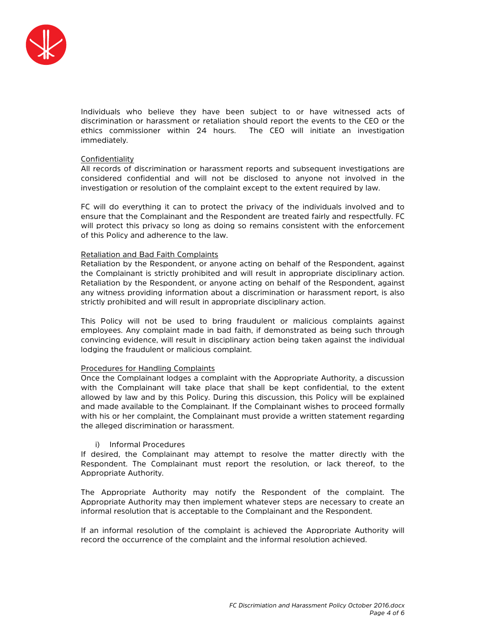

Individuals who believe they have been subject to or have witnessed acts of discrimination or harassment or retaliation should report the events to the CEO or the ethics commissioner within 24 hours. The CEO will initiate an investigation immediately.

### Confidentiality

All records of discrimination or harassment reports and subsequent investigations are considered confidential and will not be disclosed to anyone not involved in the investigation or resolution of the complaint except to the extent required by law.

FC will do everything it can to protect the privacy of the individuals involved and to ensure that the Complainant and the Respondent are treated fairly and respectfully. FC will protect this privacy so long as doing so remains consistent with the enforcement of this Policy and adherence to the law.

#### Retaliation and Bad Faith Complaints

Retaliation by the Respondent, or anyone acting on behalf of the Respondent, against the Complainant is strictly prohibited and will result in appropriate disciplinary action. Retaliation by the Respondent, or anyone acting on behalf of the Respondent, against any witness providing information about a discrimination or harassment report, is also strictly prohibited and will result in appropriate disciplinary action.

This Policy will not be used to bring fraudulent or malicious complaints against employees. Any complaint made in bad faith, if demonstrated as being such through convincing evidence, will result in disciplinary action being taken against the individual lodging the fraudulent or malicious complaint.

### Procedures for Handling Complaints

Once the Complainant lodges a complaint with the Appropriate Authority, a discussion with the Complainant will take place that shall be kept confidential, to the extent allowed by law and by this Policy. During this discussion, this Policy will be explained and made available to the Complainant. If the Complainant wishes to proceed formally with his or her complaint, the Complainant must provide a written statement regarding the alleged discrimination or harassment.

### i) Informal Procedures

If desired, the Complainant may attempt to resolve the matter directly with the Respondent. The Complainant must report the resolution, or lack thereof, to the Appropriate Authority.

The Appropriate Authority may notify the Respondent of the complaint. The Appropriate Authority may then implement whatever steps are necessary to create an informal resolution that is acceptable to the Complainant and the Respondent.

If an informal resolution of the complaint is achieved the Appropriate Authority will record the occurrence of the complaint and the informal resolution achieved.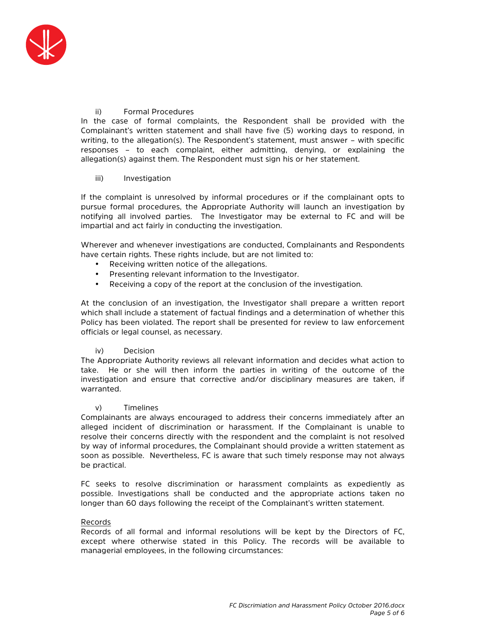

### ii) Formal Procedures

In the case of formal complaints, the Respondent shall be provided with the Complainant's written statement and shall have five (5) working days to respond, in writing, to the allegation(s). The Respondent's statement, must answer – with specific responses – to each complaint, either admitting, denying, or explaining the allegation(s) against them. The Respondent must sign his or her statement.

### iii) Investigation

If the complaint is unresolved by informal procedures or if the complainant opts to pursue formal procedures, the Appropriate Authority will launch an investigation by notifying all involved parties. The Investigator may be external to FC and will be impartial and act fairly in conducting the investigation.

Wherever and whenever investigations are conducted, Complainants and Respondents have certain rights. These rights include, but are not limited to:

- Receiving written notice of the allegations.
- Presenting relevant information to the Investigator.
- Receiving a copy of the report at the conclusion of the investigation.

At the conclusion of an investigation, the Investigator shall prepare a written report which shall include a statement of factual findings and a determination of whether this Policy has been violated. The report shall be presented for review to law enforcement officials or legal counsel, as necessary.

# iv) Decision

The Appropriate Authority reviews all relevant information and decides what action to take. He or she will then inform the parties in writing of the outcome of the investigation and ensure that corrective and/or disciplinary measures are taken, if warranted.

### v) Timelines

Complainants are always encouraged to address their concerns immediately after an alleged incident of discrimination or harassment. If the Complainant is unable to resolve their concerns directly with the respondent and the complaint is not resolved by way of informal procedures, the Complainant should provide a written statement as soon as possible. Nevertheless, FC is aware that such timely response may not always be practical.

FC seeks to resolve discrimination or harassment complaints as expediently as possible. Investigations shall be conducted and the appropriate actions taken no longer than 60 days following the receipt of the Complainant's written statement.

### Records

Records of all formal and informal resolutions will be kept by the Directors of FC, except where otherwise stated in this Policy. The records will be available to managerial employees, in the following circumstances: